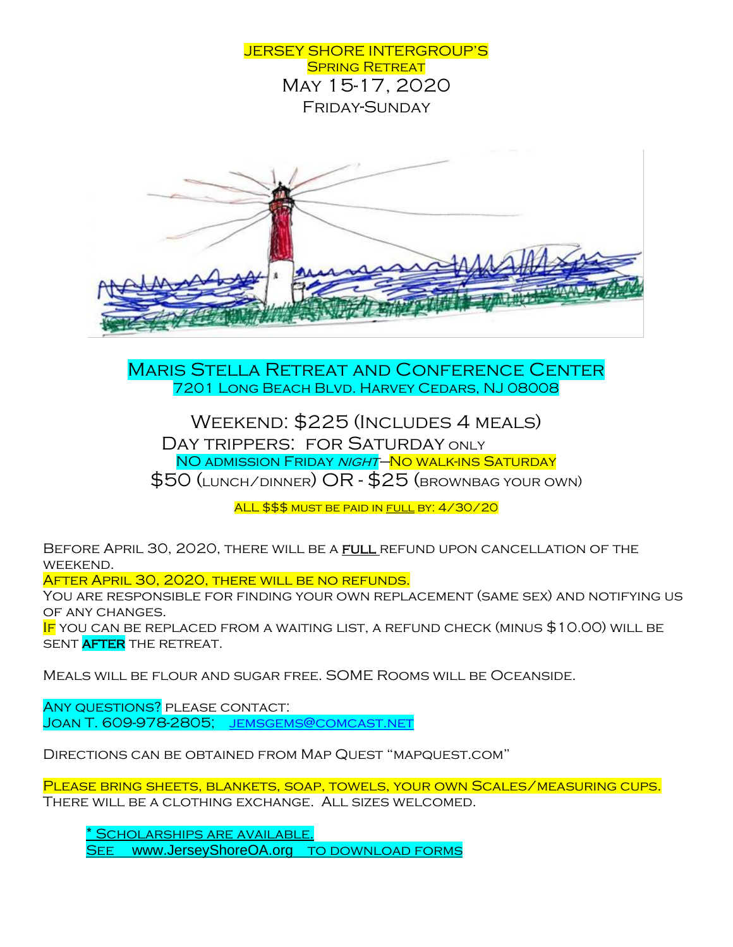

Maris Stella Retreat and Conference Center 7201 Long Beach Blvd. Harvey Cedars, NJ 08008

Weekend: \$225 (Includes 4 meals) DAY TRIPPERS: FOR SATURDAY ONLY NO ADMISSION FRIDAY NIGHT–NO WALK-INS SATURDAY \$50 (lunch/dinner) OR - \$25 (brownbag your own)

ALL \$\$\$ MUST BE PAID IN FULL BY: 4/30/20

BEFORE APRIL 30, 2020, THERE WILL BE A FULL REFUND UPON CANCELLATION OF THE weekend.

After April 30, 2020, there will be no refunds.

You are responsible for finding your own replacement (same sex) and notifying us of any changes.

IF YOU CAN BE REPLACED FROM A WAITING LIST, A REFUND CHECK (MINUS \$10.00) WILL BE SENT AFTER THE RETREAT.

Meals will be flour and sugar free. SOME Rooms will be Oceanside.

ANY QUESTIONS? PLEASE CONTACT: Joan T. 609-978-2805; JEMSGEMS@COMCAST.NET

Directions can be obtained from Map Quest "mapquest.com"

PLEASE BRING SHEETS, BLANKETS, SOAP, TOWELS, YOUR OWN SCALES/MEASURING CUPS. There will be a clothing exchange. All sizes welcomed.

SCHOLARSHIPS ARE AVAILABLE. SEE www.JerseyShoreOA.org to DOWNLOAD FORMS